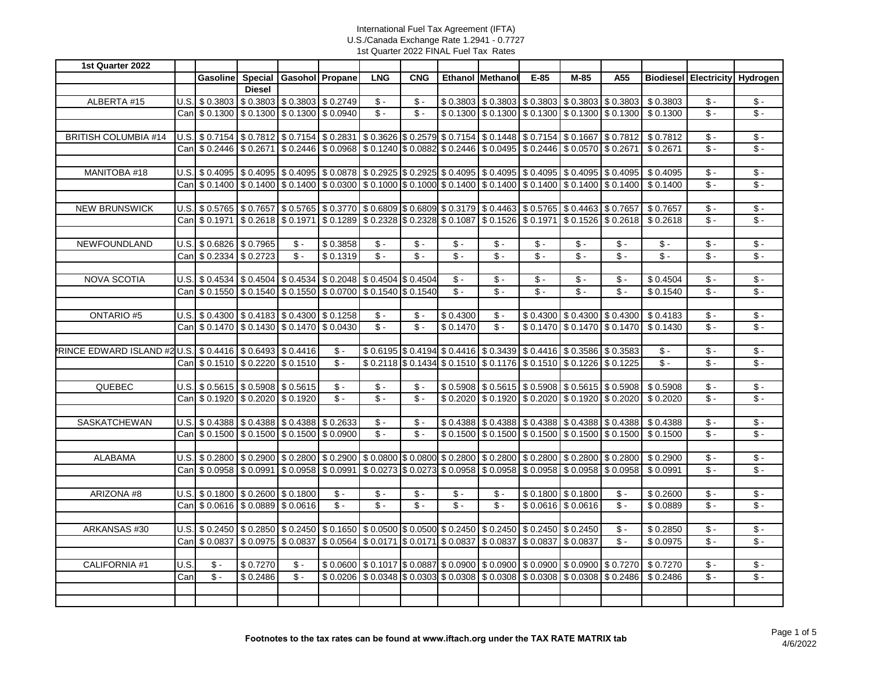| 1st Quarter 2022                                                  |      |                                                                                                                                                                                                 |                                   |                                       |                                                                            |                            |                           |                   |                                                                                                                                                                                     |                            |                               |                                       |                   |                              |                                    |
|-------------------------------------------------------------------|------|-------------------------------------------------------------------------------------------------------------------------------------------------------------------------------------------------|-----------------------------------|---------------------------------------|----------------------------------------------------------------------------|----------------------------|---------------------------|-------------------|-------------------------------------------------------------------------------------------------------------------------------------------------------------------------------------|----------------------------|-------------------------------|---------------------------------------|-------------------|------------------------------|------------------------------------|
|                                                                   |      | <b>Gasoline</b>                                                                                                                                                                                 |                                   | Special   Gasohol   Propane           |                                                                            | <b>LNG</b>                 | <b>CNG</b>                |                   | <b>Ethanol Methanol</b>                                                                                                                                                             | $E-85$                     | M-85                          | A55                                   |                   | <b>Biodiesel Electricity</b> | Hydrogen                           |
|                                                                   |      |                                                                                                                                                                                                 | <b>Diesel</b>                     |                                       |                                                                            |                            |                           |                   |                                                                                                                                                                                     |                            |                               |                                       |                   |                              |                                    |
| ALBERTA #15                                                       |      | U.S. \$ 0.3803 \$ 0.3803 \$ 0.3803 \$ 0.2749                                                                                                                                                    |                                   |                                       |                                                                            | $S -$                      | $\mathsf{\$}$ -           |                   | $$0.3803$ $$0.3803$ $$0.3803$ $$0.3803$ $$0.3803$ $$0.3803$                                                                                                                         |                            |                               |                                       | \$0.3803          | $\sqrt{$}$ .                 | $\sqrt{$}$ .                       |
|                                                                   |      | Can \$ 0.1300 \$ 0.1300 \$ 0.1300 \$ 0.0940                                                                                                                                                     |                                   |                                       |                                                                            | $\overline{\$}$ .          | $$ -$                     |                   | $$0.1300$ $$0.1300$ $$0.1300$ $$0.1300$ $$0.1300$ $$0.1300$                                                                                                                         |                            |                               |                                       | \$0.1300          | $\overline{\mathsf{S}}$ .    | $\overline{\$}$ -                  |
|                                                                   |      |                                                                                                                                                                                                 |                                   |                                       |                                                                            |                            |                           |                   |                                                                                                                                                                                     |                            |                               |                                       |                   |                              |                                    |
| <b>BRITISH COLUMBIA #14</b>                                       |      | U.S. \$ 0.7154 \$ 0.7812 \$ 0.7154 \$ 0.2831 \$ 0.3626 \$ 0.2579 \$ 0.7154 \$ 0.1448 \$ 0.7154 \$ 0.1667 \$ 0.7812                                                                              |                                   |                                       |                                                                            |                            |                           |                   |                                                                                                                                                                                     |                            |                               |                                       | \$0.7812          | $S -$                        | $\sqrt{$}$ .                       |
|                                                                   |      | Can \$ 0.2446 \$ 0.2671 \$ 0.2446 \$ 0.0968 \$ 0.1240 \$ 0.0882 \$ 0.2446 \$ 0.0495 \$ 0.2446 \$ 0.0570 \$ 0.2671                                                                               |                                   |                                       |                                                                            |                            |                           |                   |                                                                                                                                                                                     |                            |                               |                                       | $\sqrt{$}$ 0.2671 | $S -$                        | $\overline{\$}$ .                  |
|                                                                   |      |                                                                                                                                                                                                 |                                   |                                       |                                                                            |                            |                           |                   |                                                                                                                                                                                     |                            |                               |                                       |                   |                              |                                    |
| MANITOBA #18                                                      |      | U.S. \$ 0.4095 \$ 0.4095 \$ 0.4095 \$ 0.00878 \$ 0.2925 \$ 0.2925 \$ 0.4095 \$ 0.4095 \$ 0.4095 \$ 0.4095 \$ 0.4095                                                                             |                                   |                                       |                                                                            |                            |                           |                   |                                                                                                                                                                                     |                            |                               |                                       | \$0.4095          | $S -$                        | $\sqrt{$}$ -                       |
|                                                                   |      | Can   \$ 0.1400   \$ 0.1400   \$ 0.1400   \$ 0.0300   \$ 0.1000   \$ 0.1000   \$ 0.1400   \$ 0.1400   \$ 0.1400   \$ 0.1400   \$ 0.1400                                                         |                                   |                                       |                                                                            |                            |                           |                   |                                                                                                                                                                                     |                            |                               |                                       | \$0.1400          | $S -$                        | $S -$                              |
|                                                                   |      |                                                                                                                                                                                                 |                                   |                                       |                                                                            |                            |                           |                   |                                                                                                                                                                                     |                            |                               |                                       |                   |                              |                                    |
| <b>NEW BRUNSWICK</b>                                              |      | U.S. \$0.5765 \$0.7657 \$0.5765 \$0.3770 \$0.6809 \$0.6809 \$0.3179 \$0.4463 \$0.5765 \$0.4463 \$0.7657                                                                                         |                                   |                                       |                                                                            |                            |                           |                   |                                                                                                                                                                                     |                            |                               |                                       | $\sqrt{$}0.7657$  | $\mathsf{s}$ .               | $\sqrt{2}$                         |
|                                                                   |      | Can \$ 0.1971                                                                                                                                                                                   |                                   |                                       |                                                                            |                            |                           |                   | $\vert$ \$ 0.2618 $\vert$ \$ 0.1971 $\vert$ \$ 0.1289 $\vert$ \$ 0.2328 $\vert$ \$ 0.2328 $\vert$ \$ 0.1087 $\vert$ \$ 0.1526 $\vert$ \$ 0.1971 $\vert$ \$ 0.1526 $\vert$ \$ 0.2618 |                            |                               |                                       | \$0.2618          | $\mathsf{s}$ .               | $S -$                              |
|                                                                   |      |                                                                                                                                                                                                 |                                   |                                       |                                                                            |                            |                           |                   |                                                                                                                                                                                     |                            |                               |                                       |                   |                              |                                    |
| NEWFOUNDLAND                                                      |      | U.S. \$ 0.6826 \$ 0.7965                                                                                                                                                                        |                                   | $\mathsf{\$}$ -                       | \$0.3858                                                                   | $S -$                      | $S -$                     | $\mathsf{\$}$ .   | $\mathsf{\$}$ -                                                                                                                                                                     | $\mathsf{\$}$ .            | $$ -$                         | $\mathsf{\$}$ -                       | $\mathsf{\$}$ -   | $\mathsf{\$}$ .              | $\mathsf{\$}$ -                    |
|                                                                   |      | Can   \$ 0.2334   \$ 0.2723                                                                                                                                                                     |                                   | $\overline{\$}$ .                     | \$0.1319                                                                   | $\overline{\mathcal{S}}$ . | $\overline{\mathsf{S}}$ . | $\overline{\$}$ . | $\mathsf{\$}$ -                                                                                                                                                                     | $\overline{\mathcal{S}}$ . | $\overline{\mathcal{S}}$ .    | $S -$                                 | $S -$             | $\overline{\$}$ .            | $\mathsf{\$}$ -                    |
|                                                                   |      |                                                                                                                                                                                                 |                                   |                                       |                                                                            |                            |                           |                   |                                                                                                                                                                                     |                            |                               |                                       |                   |                              |                                    |
| <b>NOVA SCOTIA</b>                                                |      | U.S. $\vert$ \$ 0.4534 \ \$ 0.4504 \ \$ 0.4534 \ \$ 0.2048 \ \$ 0.4504 \ \$ 0.4504                                                                                                              |                                   |                                       |                                                                            |                            |                           | $\mathsf{\$}$ .   | $\mathsf{\$}$ -                                                                                                                                                                     | $\mathsf{\$}$ -            | $\mathsf{\$}$ -               | $$ -$                                 | \$0.4504          | $\mathsf{\$}$ .              | $$ -$                              |
|                                                                   |      | Can \$ 0.1550 \$ 0.1540 \$ 0.1550 \$ 0.0700 \$ 0.1540 \$ 0.1540                                                                                                                                 |                                   |                                       |                                                                            |                            |                           | $\overline{\$}$ . | $$ -$                                                                                                                                                                               | $\overline{\$}$ .          | $\overline{\mathcal{S}}$ .    | $S -$                                 | \$0.1540          | $S -$                        | $\overline{\mathcal{S}}$ .         |
|                                                                   |      |                                                                                                                                                                                                 |                                   |                                       |                                                                            |                            |                           |                   |                                                                                                                                                                                     |                            |                               |                                       |                   |                              |                                    |
| <b>ONTARIO#5</b>                                                  |      | $U.S.$ \$ 0.4300 $\mid$ \$ 0.4183 $\mid$ \$ 0.4300 $\mid$ \$ 0.1258                                                                                                                             |                                   |                                       |                                                                            | $\mathsf{\$}$ -            | $\mathsf{\$}$ .           | \$0.4300          | $\mathsf{\$}$ .                                                                                                                                                                     |                            |                               | $$0.4300 \times 0.4300 \times 0.4300$ | \$0.4183          | $\mathsf{\$}$ -              | $\sqrt[6]{\cdot}$                  |
|                                                                   |      | Can   \$ 0.1470                                                                                                                                                                                 |                                   | $$0.1430 \times 0.1470 \times 0.0430$ |                                                                            | $$ -$                      | $S -$                     | \$0.1470          | $\mathsf{\$}$ -                                                                                                                                                                     |                            | $$0.1470$ $$0.1470$ $$0.1470$ |                                       | \$0.1430          | $\mathsf{s}$ .               | $\sqrt[6]{\cdot}$                  |
|                                                                   |      |                                                                                                                                                                                                 |                                   |                                       |                                                                            |                            |                           |                   |                                                                                                                                                                                     |                            |                               |                                       |                   |                              |                                    |
| <b>PRINCE EDWARD ISLAND #2 U.S. \$ 0.4416 \$ 0.6493 \$ 0.4416</b> |      |                                                                                                                                                                                                 |                                   |                                       | $\mathsf{\$}$ -                                                            |                            |                           |                   | \$ 0.6195 \$ 0.4194 \$ 0.4416 \$ 0.3439 \$ 0.4416 \$ 0.3586 \$ 0.3583                                                                                                               |                            |                               |                                       | $\mathsf{\$}$ -   | $\mathsf{\$}$ -              | $\mathsf{\$}$ -                    |
|                                                                   |      | Can \$ 0.1510                                                                                                                                                                                   | $\frac{1}{2}$ \$ 0.2220 \$ 0.1510 |                                       | $\mathsf{\$}$ .                                                            |                            |                           |                   | \$0.2118 \$0.1434 \$0.1510 \$0.1176 \$0.1510 \$0.1226 \$0.1225                                                                                                                      |                            |                               |                                       | $\sqrt[6]{\cdot}$ | $S -$                        | $\mathsf{\$}$ -                    |
|                                                                   |      |                                                                                                                                                                                                 |                                   |                                       |                                                                            |                            |                           |                   |                                                                                                                                                                                     |                            |                               |                                       |                   |                              |                                    |
| QUEBEC                                                            |      | U.S. \$0.5615 \$0.5908 \$0.5615                                                                                                                                                                 |                                   |                                       | $\mathsf{\$}$ .                                                            | $\sqrt[6]{\cdot}$          | $$ -$                     |                   | $$0.5908$ $$0.5615$ $$0.5908$ $$0.5615$ $$0.5908$                                                                                                                                   |                            |                               |                                       | \$0.5908          | $\mathsf{\$}$ -              | $\overline{\$}$ .                  |
|                                                                   |      | Can \$ 0.1920                                                                                                                                                                                   | $\frac{1}{2}$ \$ 0.2020 \$ 0.1920 |                                       | $S -$                                                                      | $\overline{\mathcal{S}}$ . | $\mathsf{\$}$ .           |                   | \$ 0.2020   \$ 0.1920   \$ 0.2020   \$ 0.1920   \$ 0.2020                                                                                                                           |                            |                               |                                       | \$0.2020          | $S -$                        | $\sqrt{2}$                         |
|                                                                   |      |                                                                                                                                                                                                 |                                   |                                       |                                                                            |                            |                           |                   |                                                                                                                                                                                     |                            |                               |                                       |                   |                              |                                    |
| <b>SASKATCHEWAN</b>                                               |      | $U.S.$ \$ 0.4388 \$ 0.4388 \$ 0.4388 \$ 0.2633                                                                                                                                                  |                                   |                                       |                                                                            | $\mathsf{\$}$ -            | $\mathsf{\$}$ .           |                   | $$0.4388$ $$0.4388$ $$0.4388$ $$0.4388$ $$0.4388$ $$0.4388$                                                                                                                         |                            |                               |                                       | \$0.4388          | $$-$                         | $\sqrt{$}$ -                       |
|                                                                   |      | Can \$ 0.1500 \$ 0.1500 \$ 0.1500 \$ 0.0900                                                                                                                                                     |                                   |                                       |                                                                            | $\hat{\mathbf{s}}$ .       | $$ -$                     |                   | $$0.1500$ $$0.1500$ $$0.1500$ $$0.1500$ $$0.1500$ $$0.1500$                                                                                                                         |                            |                               |                                       | \$0.1500          | $\mathsf{s}$ -               | $$ -$                              |
|                                                                   |      |                                                                                                                                                                                                 |                                   |                                       |                                                                            |                            |                           |                   |                                                                                                                                                                                     |                            |                               |                                       |                   |                              |                                    |
| <b>ALABAMA</b>                                                    | U.S. | $\frac{1}{2}$ \$ 0.2800 $\frac{1}{2}$ \$ 0.2900 $\frac{1}{2}$ \$ 0.2800 $\frac{1}{2}$ \$ 0.2900 $\frac{1}{2}$ \$ 0.0800 $\frac{1}{2}$ \$ 0.2800 $\frac{1}{2}$ \$ 0.2800 $\frac{1}{2}$ \$ 0.2800 |                                   |                                       |                                                                            |                            |                           |                   |                                                                                                                                                                                     |                            | $$0.2800$ $$0.2800$           |                                       | \$0.2900          | $$ -$                        | $$ -$                              |
|                                                                   | Canl | \$0.0958                                                                                                                                                                                        | \$0.0991                          | \$0.0958                              | \$0.0991                                                                   |                            |                           |                   | $\frac{1}{2}$ \$ 0.0273 \$ 0.0958 \$ 0.0958 \$ 0.0958                                                                                                                               |                            | $$0.0958$ $$0.0958$           |                                       | \$0.0991          | $\mathsf{s}$ .               | $\sqrt{2}$                         |
|                                                                   |      |                                                                                                                                                                                                 |                                   |                                       |                                                                            |                            |                           |                   |                                                                                                                                                                                     |                            |                               |                                       |                   |                              |                                    |
| ARIZONA #8                                                        |      | U.S. \$ 0.1800 \$ 0.2600 \$ 0.1800                                                                                                                                                              |                                   |                                       | $$ -$                                                                      | $\mathsf{\$}$ -            | $\mathsf{\$}$ -           | $$ -$             | $\mathsf{\$}$ -                                                                                                                                                                     |                            | $$0.1800$ $$0.1800$           | $\mathsf{\$}$ -                       | \$0.2600          | $$ -$                        | $\sqrt{$}$ .                       |
|                                                                   |      | Can   \$ 0.0616   \$ 0.0889   \$ 0.0616                                                                                                                                                         |                                   |                                       | $\overline{\$}$ .                                                          | $\overline{\$}$ .          | $\overline{\$}$ .         | $\overline{\$}$ . | $$ -$                                                                                                                                                                               |                            | $$0.0616$ $$0.0616$           | $\overline{\$}$ .                     | \$0.0889          | $\overline{\$}$ .            | $$ -$                              |
|                                                                   |      |                                                                                                                                                                                                 |                                   |                                       |                                                                            |                            |                           |                   |                                                                                                                                                                                     |                            |                               |                                       |                   |                              |                                    |
| ARKANSAS #30                                                      |      | $\bigcup S$ , $\$0.2450$ , $\$0.2850$ , $\$0.2450$ , $\$0.1650$ , $\$0.0500$ , $\$0.0500$ , $\$0.2450$ , $\$0.2450$ , $\$0.2450$ , $\$0.2450$ , $\$0.2450$                                      |                                   |                                       |                                                                            |                            |                           |                   |                                                                                                                                                                                     |                            |                               | $$ -$                                 | \$0.2850          | $\mathsf{\$}$ -              | \$ -<br>$\overline{\mathcal{S}}$ . |
|                                                                   |      | Can S 0.0837                                                                                                                                                                                    |                                   |                                       | \$0.0975   \$0.0837   \$0.0564   \$0.0171   \$0.0171   \$0.0837   \$0.0837 |                            |                           |                   |                                                                                                                                                                                     | \$0.0837                   | \$0.0837                      | $$ -$                                 | \$0.0975          | $$ -$                        |                                    |
|                                                                   |      |                                                                                                                                                                                                 |                                   |                                       |                                                                            |                            |                           |                   |                                                                                                                                                                                     |                            |                               |                                       |                   |                              |                                    |
| CALIFORNIA #1                                                     | U.S. | $\mathsf{\$}$ .                                                                                                                                                                                 | \$0.7270                          | $$-$                                  |                                                                            |                            |                           |                   | \$0.0600 \$0.1017 \$0.0887 \$0.0900 \$0.0900 \$0.0900 \$0.0900 \$0.7270                                                                                                             |                            |                               |                                       | \$0.7270          | $\mathsf{\$}$ -              | $\sqrt[6]{\cdot}$                  |
|                                                                   | Can  | $\overline{\$}$ .                                                                                                                                                                               | \$0.2486                          | $$ -$                                 |                                                                            |                            |                           |                   | $$0.0206$   \$ 0.0348   \$ 0.0303   \$ 0.0308   \$ 0.0308   \$ 0.0308   \$ 0.0308   \$ 0.2486                                                                                       |                            |                               |                                       | \$0.2486          | $\overline{\mathcal{S}}$ -   | $S -$                              |
|                                                                   |      |                                                                                                                                                                                                 |                                   |                                       |                                                                            |                            |                           |                   |                                                                                                                                                                                     |                            |                               |                                       |                   |                              |                                    |
|                                                                   |      |                                                                                                                                                                                                 |                                   |                                       |                                                                            |                            |                           |                   |                                                                                                                                                                                     |                            |                               |                                       |                   |                              |                                    |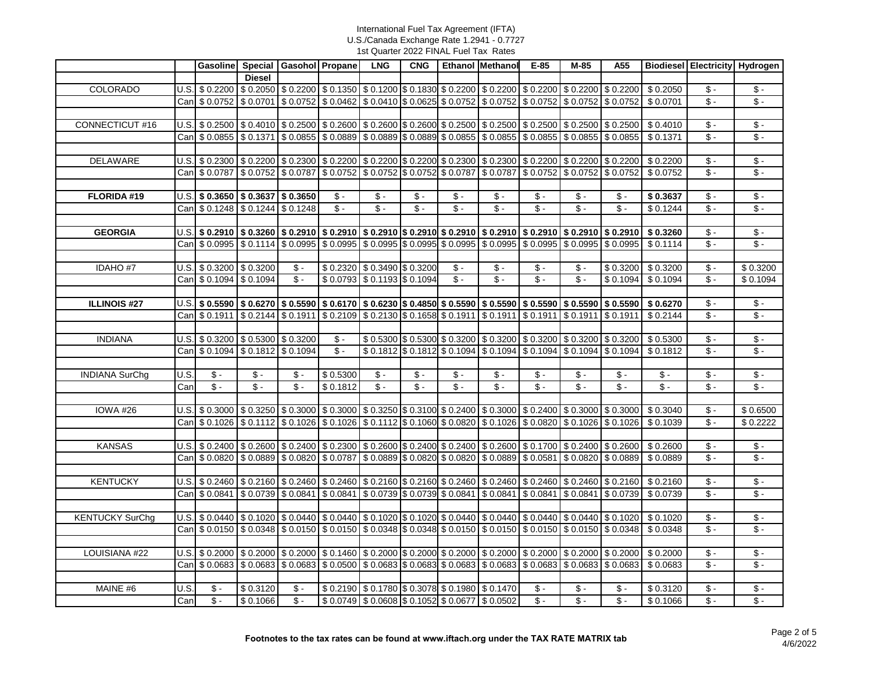|                        |      |                                                                                                                                                                                                                            |                | Gasoline Special Gasohol Propane |                                                                                                                                                                                                                          | <b>LNG</b>        | <b>CNG</b>        |                                              | Ethanol Methanol                                                      | $E-85$            | M-85              | A55               |                                                                                                                                                                                                                    | <b>Biodiesel Electricity Hydrogen</b> |                                    |
|------------------------|------|----------------------------------------------------------------------------------------------------------------------------------------------------------------------------------------------------------------------------|----------------|----------------------------------|--------------------------------------------------------------------------------------------------------------------------------------------------------------------------------------------------------------------------|-------------------|-------------------|----------------------------------------------|-----------------------------------------------------------------------|-------------------|-------------------|-------------------|--------------------------------------------------------------------------------------------------------------------------------------------------------------------------------------------------------------------|---------------------------------------|------------------------------------|
|                        |      |                                                                                                                                                                                                                            | <b>Diesel</b>  |                                  |                                                                                                                                                                                                                          |                   |                   |                                              |                                                                       |                   |                   |                   |                                                                                                                                                                                                                    |                                       |                                    |
| COLORADO               |      | $U.S.$ \$ 0.2200                                                                                                                                                                                                           |                |                                  | $$0.2050$ $$0.2200$ $$0.1350$ $$0.1200$ $$0.1200$ $$0.1830$ $$0.2200$ $$0.2200$ $$0.2200$ $$0.2200$ $$0.2200$                                                                                                            |                   |                   |                                              |                                                                       |                   |                   |                   | \$0.2050                                                                                                                                                                                                           | $$ -$                                 | $\mathsf{\$}$ -                    |
|                        |      | Can \$ 0.0752                                                                                                                                                                                                              |                |                                  | $$0.0701$ $$0.0752$ $$0.0462$ $$0.0410$ $$0.0625$ $$0.0752$ $$0.0752$ $$0.0752$ $$0.0752$ $$0.0752$                                                                                                                      |                   |                   |                                              |                                                                       |                   |                   |                   | \$0.0701                                                                                                                                                                                                           | $\sqrt[6]{\cdot}$                     | $\sqrt{$}$ -                       |
|                        |      |                                                                                                                                                                                                                            |                |                                  |                                                                                                                                                                                                                          |                   |                   |                                              |                                                                       |                   |                   |                   |                                                                                                                                                                                                                    |                                       |                                    |
| CONNECTICUT #16        |      | $\vert$ U.S. $\vert$ \$ 0.2500 $\vert$ \$ 0.4010 $\vert$ \$ 0.2500 $\vert$ \$ 0.2600 $\vert$ \$ 0.2600 $\vert$ \$ 0.2500 $\vert$ \$ 0.2500 $\vert$ \$ 0.2500 $\vert$ \$ 0.2500 $\vert$ \$ 0.2500 $\vert$ \$ 0.2500 $\vert$ |                |                                  |                                                                                                                                                                                                                          |                   |                   |                                              |                                                                       |                   |                   |                   | \$0.4010                                                                                                                                                                                                           | $\overline{\mathcal{S}}$ .            | $\sqrt{5}$                         |
|                        |      | Can \$ 0.0855                                                                                                                                                                                                              |                |                                  | $$0.1371$ $$0.0855$ $$0.0889$ $$0.0889$ $$0.0889$ $$0.0889$ $$0.0855$ $$0.0855$ $$0.0855$ $$0.0855$ $$0.0855$                                                                                                            |                   |                   |                                              |                                                                       |                   |                   |                   | \$0.1371                                                                                                                                                                                                           | $S -$                                 | $\sqrt[6]{\cdot}$                  |
|                        |      |                                                                                                                                                                                                                            |                |                                  |                                                                                                                                                                                                                          |                   |                   |                                              |                                                                       |                   |                   |                   |                                                                                                                                                                                                                    |                                       |                                    |
| DELAWARE               |      | $U.S.$ \$ 0.2300                                                                                                                                                                                                           |                |                                  | $$0.2200$ $$0.2300$ $$0.2200$ $$0.2200$ $$0.2200$ $$0.2200$ $$0.2300$ $$0.2300$ $$0.2200$ $$0.2200$ $$0.2200$                                                                                                            |                   |                   |                                              |                                                                       |                   |                   |                   | \$0.2200                                                                                                                                                                                                           | $\mathsf{\$}$ -                       | $\sqrt{5}$                         |
|                        |      | Can \$ 0.0787                                                                                                                                                                                                              |                |                                  | \$ 0.0752 \$ 0.0787 \$ 0.0752 \$ 0.0752 \$ 0.0752 \$ 0.0752 \$ 0.0787 \$ 0.0787 \$ 0.0752 \$ 0.0752 \$ 0.0752                                                                                                            |                   |                   |                                              |                                                                       |                   |                   |                   | \$0.0752                                                                                                                                                                                                           | $\mathsf{\$}$ -                       | $\sqrt[6]{\cdot}$                  |
|                        |      |                                                                                                                                                                                                                            |                |                                  |                                                                                                                                                                                                                          |                   |                   |                                              |                                                                       |                   |                   |                   |                                                                                                                                                                                                                    |                                       |                                    |
| FLORIDA #19            |      | $U.S.$ \$ 0.3650 \$ 0.3637 \$ 0.3650                                                                                                                                                                                       |                |                                  | $\mathsf{\$}$ -                                                                                                                                                                                                          | $\sqrt[6]{\cdot}$ | $\sqrt[6]{\cdot}$ | $$ -$                                        | $\mathsf{\$}$ -                                                       | $\mathsf{\$}$ -   | $\mathsf{\$}$ -   | $$ -$             | \$0.3637                                                                                                                                                                                                           | $\sqrt[6]{\cdot}$                     | $\sqrt{$}$ .                       |
|                        |      | Can \$ 0.1248                                                                                                                                                                                                              |                | $$0.1244$ $$0.1248$              | $\mathsf{\$}$ -                                                                                                                                                                                                          | $\sqrt{2}$        | $\sqrt{2}$        | $\sqrt{2}$                                   | $\sqrt[6]{\cdot}$                                                     | $\overline{\$}$ - | $\sqrt{2}$        | $\mathsf{\$}$ -   | \$0.1244                                                                                                                                                                                                           | $\overline{\mathcal{S}}$ -            | $\sqrt{2}$                         |
|                        |      |                                                                                                                                                                                                                            |                |                                  |                                                                                                                                                                                                                          |                   |                   |                                              |                                                                       |                   |                   |                   |                                                                                                                                                                                                                    |                                       |                                    |
| <b>GEORGIA</b>         |      | $U.S.$ \$ 0.2910                                                                                                                                                                                                           |                |                                  | \$ 0.3260   \$ 0.2910   \$ 0.2910   \$ 0.2910  \$ 0.2910   \$ 0.2910   \$ 0.2910   \$ 0.2910   \$ 0.2910   \$ 0.2910                                                                                                     |                   |                   |                                              |                                                                       |                   |                   |                   | \$0.3260                                                                                                                                                                                                           | $\overline{\$}$ .                     | $\sqrt{$}$ -                       |
|                        |      | Can \$ 0.0995                                                                                                                                                                                                              |                |                                  | $$0.1114$ $$0.0995$ $$0.0995$ $$0.0995$ $$0.0995$ $$0.0995$ $$0.0995$ $$0.0995$ $$0.0995$ $$0.0995$ $$0.0995$                                                                                                            |                   |                   |                                              |                                                                       |                   |                   |                   | \$0.1114                                                                                                                                                                                                           | $$ -$                                 | $\sqrt{$}$ -                       |
|                        |      |                                                                                                                                                                                                                            |                |                                  |                                                                                                                                                                                                                          |                   |                   |                                              |                                                                       |                   |                   |                   |                                                                                                                                                                                                                    |                                       |                                    |
| <b>IDAHO#7</b>         |      | $U.S.$ \$ 0.3200                                                                                                                                                                                                           | \$0.3200       | $\overline{\$}$ .                | \$0.2320 \$0.3490 \$0.3200                                                                                                                                                                                               |                   |                   | $S -$                                        | $\sqrt[6]{\cdot}$                                                     | $\sqrt{2}$        | $\mathsf{\$}$ -   | \$0.3200          | \$0.3200                                                                                                                                                                                                           | $\sqrt[6]{\cdot}$                     | \$0.3200                           |
|                        |      | Can \$ 0.1094 \$ 0.1094                                                                                                                                                                                                    |                | $S -$                            | \$0.0793 \$0.1193 \$0.1094                                                                                                                                                                                               |                   |                   | $\mathsf{\$}$ -                              | $\overline{\$}$ .                                                     | $\overline{\$}$ - | $S -$             | \$0.1094          | \$0.1094                                                                                                                                                                                                           | $$ -$                                 | \$0.1094                           |
|                        |      |                                                                                                                                                                                                                            |                |                                  |                                                                                                                                                                                                                          |                   |                   |                                              |                                                                       |                   |                   |                   |                                                                                                                                                                                                                    |                                       |                                    |
| <b>ILLINOIS #27</b>    |      |                                                                                                                                                                                                                            |                |                                  |                                                                                                                                                                                                                          |                   |                   |                                              |                                                                       |                   |                   |                   | $\bigcup S$ \$ 0.5590 \$ 0.6270 \$ 0.5590 \$ 0.6170 \$ 0.6230 \$ 0.4850 \$ 0.5590 \$ 0.5590 \$ 0.5590 \$ 0.5590 \$ 0.5590 \$ 0.6270                                                                                | $$ -$                                 | $\sqrt{5}$ -                       |
|                        |      |                                                                                                                                                                                                                            |                |                                  | $\frac{1}{2}$ 0.2144 $\frac{1}{2}$ 0.1911 $\frac{1}{2}$ 0.2109 $\frac{1}{2}$ 0.2130 $\frac{1}{2}$ 0.1658 $\frac{1}{2}$ 0.1911 $\frac{1}{2}$ 0.1911 $\frac{1}{2}$ 0.1911 $\frac{1}{2}$ 0.1911 $\frac{1}{2}$ 0.1911        |                   |                   |                                              |                                                                       |                   |                   |                   |                                                                                                                                                                                                                    | $\mathsf{\$}$ -                       | $\sqrt{$}$ -                       |
|                        |      | Can   \$ 0.1911                                                                                                                                                                                                            |                |                                  |                                                                                                                                                                                                                          |                   |                   |                                              |                                                                       |                   |                   |                   | \$0.2144                                                                                                                                                                                                           |                                       |                                    |
|                        |      |                                                                                                                                                                                                                            |                |                                  |                                                                                                                                                                                                                          |                   |                   |                                              |                                                                       |                   |                   |                   |                                                                                                                                                                                                                    |                                       |                                    |
| <b>INDIANA</b>         |      | U.S. $$0.3200$ $$0.5300$ $$0.3200$                                                                                                                                                                                         |                |                                  | $S -$<br>$S -$                                                                                                                                                                                                           |                   |                   |                                              | \$ 0.5300 \$ 0.5300 \$ 0.3200 \$ 0.3200 \$ 0.3200 \$ 0.3200 \$ 0.3200 |                   |                   |                   | \$0.5300                                                                                                                                                                                                           | $$ -$<br>$$ -$                        | $\mathsf S$ -<br>$\overline{\$}$ . |
|                        |      | Can \$ 0.1094                                                                                                                                                                                                              |                | $$0.1812$ $$0.1094$              |                                                                                                                                                                                                                          |                   |                   |                                              | \$0.1812 \$0.1812 \$0.1094 \$0.1094 \$0.1094 \$0.1094 \$0.1094        |                   |                   |                   | \$0.1812                                                                                                                                                                                                           |                                       |                                    |
|                        |      |                                                                                                                                                                                                                            |                |                                  |                                                                                                                                                                                                                          |                   |                   |                                              |                                                                       |                   |                   |                   |                                                                                                                                                                                                                    |                                       |                                    |
| <b>INDIANA SurChg</b>  | U.S. | $\mathsf{\$}$ -                                                                                                                                                                                                            | $\mathbb{S}$ - | $\mathsf{\$}$ -                  | \$0.5300                                                                                                                                                                                                                 | $\mathsf{\$}$ -   | $\mathsf{\$}$ -   | $\mathsf{\$}$ -                              | $\mathsf{\$}$ .                                                       | $S -$             | $\mathsf{\$}$ -   | $$ -$             | $\mathsf{\$}$ .                                                                                                                                                                                                    | $$ -$                                 | $\sqrt{5}$                         |
|                        | Can  | $\overline{\$}$ -                                                                                                                                                                                                          | $\sqrt{$}$ -   | $\sqrt[6]{\cdot}$                | \$0.1812                                                                                                                                                                                                                 | $S -$             | $\overline{\$}$ - | $\mathsf{\$}$ -                              | $S -$                                                                 | $S -$             | $\overline{\$}$ - | $\sqrt[6]{\cdot}$ | $\overline{\$}$ .                                                                                                                                                                                                  | $\mathsf{\$}$ -                       | $\sqrt[6]{\cdot}$                  |
|                        |      |                                                                                                                                                                                                                            |                |                                  |                                                                                                                                                                                                                          |                   |                   |                                              |                                                                       |                   |                   |                   |                                                                                                                                                                                                                    |                                       |                                    |
| <b>IOWA #26</b>        |      |                                                                                                                                                                                                                            |                |                                  |                                                                                                                                                                                                                          |                   |                   |                                              |                                                                       |                   |                   |                   | $\vert$ U.S. $\vert$ \$ 0.3000 $\vert$ \$ 0.3250 $\vert$ \$ 0.3000 $\vert$ \$ 0.3000 $\vert$ \$ 0.3250 $\vert$ \$ 0.3100 $\vert$ \$ 0.2400 $\vert$ \$ 0.3000 $\vert$ \$ 0.3000 $\vert$ \$ 0.3000 $\vert$ \$ 0.3040 | $$ -$                                 | \$0.6500                           |
|                        |      | Can \$ 0.1026                                                                                                                                                                                                              |                |                                  | $\left  \frac{60.1112}{60.1026} \right  \frac{60.1026}{60.1026} \right  \frac{60.1112}{60.1112} \frac{60.1060}{60.1060} \frac{60.0820}{60.1026} \frac{60.1026}{60.1026} \frac{60.1026}{60.1026} \frac{60.1026}{60.1026}$ |                   |                   |                                              |                                                                       |                   |                   |                   | \$0.1039                                                                                                                                                                                                           | $\mathsf{\$}$ -                       | \$0.2222                           |
|                        |      |                                                                                                                                                                                                                            |                |                                  |                                                                                                                                                                                                                          |                   |                   |                                              |                                                                       |                   |                   |                   |                                                                                                                                                                                                                    |                                       |                                    |
| <b>KANSAS</b>          |      | $U.S.$ \$ 0.2400                                                                                                                                                                                                           |                |                                  | $$0.2600$ $$0.2400$ $$0.2300$ $$0.2600$ $$0.2600$ $$0.2400$ $$0.2400$ $$0.2600$ $$0.1700$ $$0.2400$ $$0.2600$                                                                                                            |                   |                   |                                              |                                                                       |                   |                   |                   | \$0.2600                                                                                                                                                                                                           | $\sqrt[6]{\cdot}$                     | $\sqrt{5}$ -                       |
|                        |      | Can \$ 0.0820                                                                                                                                                                                                              |                |                                  | $$0.0889$ $$0.0820$ $$0.0787$ $$0.0889$ $$0.0820$ $$0.0820$ $$0.0820$ $$0.0889$ $$0.0581$ $$0.0820$ $$0.0820$ $$0.0889$                                                                                                  |                   |                   |                                              |                                                                       |                   |                   |                   | \$0.0889                                                                                                                                                                                                           | $$ -$                                 | $\mathsf{\$}$ -                    |
|                        |      |                                                                                                                                                                                                                            |                |                                  |                                                                                                                                                                                                                          |                   |                   |                                              |                                                                       |                   |                   |                   |                                                                                                                                                                                                                    |                                       |                                    |
| <b>KENTUCKY</b>        |      | $U.S.$ \$ 0.2460                                                                                                                                                                                                           |                |                                  | $\frac{1}{2}$ 0.2160 $\frac{1}{2}$ 0.2460 $\frac{1}{2}$ 0.2460 $\frac{1}{2}$ 0.2160 $\frac{1}{2}$ 0.2460 $\frac{1}{2}$ 0.2460 $\frac{1}{2}$ 0.2460 $\frac{1}{2}$ 0.2460 $\frac{1}{2}$ 0.2460 $\frac{1}{2}$ 0.2460        |                   |                   |                                              |                                                                       |                   |                   |                   | \$0.2160                                                                                                                                                                                                           | $\sqrt[6]{\cdot}$                     | $\sqrt{$}$ -                       |
|                        |      | $Can $ \$ 0.0841                                                                                                                                                                                                           |                |                                  | $\frac{1}{2}$ 0.0739 $\frac{1}{2}$ 0.0841 $\frac{1}{2}$ 0.0841 $\frac{1}{2}$ 0.0739 $\frac{1}{2}$ 0.0739 $\frac{1}{2}$ 0.0841 $\frac{1}{2}$ 0.0841 $\frac{1}{2}$ 0.0841 $\frac{1}{2}$ 0.0739                             |                   |                   |                                              |                                                                       |                   |                   |                   | \$0.0739                                                                                                                                                                                                           | $$ -$                                 | $\sqrt[6]{\cdot}$                  |
|                        |      |                                                                                                                                                                                                                            |                |                                  |                                                                                                                                                                                                                          |                   |                   |                                              |                                                                       |                   |                   |                   |                                                                                                                                                                                                                    |                                       |                                    |
| <b>KENTUCKY SurChg</b> |      | U.S. \$ 0.0440                                                                                                                                                                                                             |                |                                  | $$0.1020$ $$0.0440$ $$0.0440$ $$0.1020$ $$0.1020$ $$0.1020$ $$0.0440$ $$0.0440$ $$0.0440$ $$0.0440$ $$0.0440$ $$0.0440$                                                                                                  |                   |                   |                                              |                                                                       |                   |                   |                   | \$0.1020                                                                                                                                                                                                           | $\overline{\mathcal{S}}$ -            | $\sqrt{2}$                         |
|                        |      | Can \$ 0.0150                                                                                                                                                                                                              |                |                                  | $$0.0348$ $$0.0150$ $$0.0150$ $$0.0348$ $$0.0348$ $$0.0348$ $$0.0150$ $$0.0150$ $$0.0150$ $$0.0150$ $$0.0150$ $$0.0150$                                                                                                  |                   |                   |                                              |                                                                       |                   |                   |                   | \$0.0348                                                                                                                                                                                                           | $\overline{\mathcal{S}}$ -            | $\sqrt{$}$ -                       |
|                        |      |                                                                                                                                                                                                                            |                |                                  |                                                                                                                                                                                                                          |                   |                   |                                              |                                                                       |                   |                   |                   |                                                                                                                                                                                                                    |                                       |                                    |
| LOUISIANA #22          |      | $U.S.$ \$ 0.2000                                                                                                                                                                                                           |                |                                  | $$0.2000$ $$0.2000$ $$0.1460$ $$0.2000$ $$0.2000$ $$0.2000$ $$0.2000$ $$0.2000$ $$0.2000$ $$0.2000$ $$0.2000$                                                                                                            |                   |                   |                                              |                                                                       |                   |                   |                   | \$0.2000                                                                                                                                                                                                           | $$ -$                                 | $\sqrt{5}$                         |
|                        |      | Can \$ 0.0683                                                                                                                                                                                                              |                |                                  | $$0.0683$ $$0.0683$ $$0.0500$ $$0.0683$ $$0.0683$ $$0.0683$ $$0.0683$ $$0.0683$ $$0.0683$ $$0.0683$ $$0.0683$ $$0.0683$                                                                                                  |                   |                   |                                              |                                                                       |                   |                   |                   | \$0.0683                                                                                                                                                                                                           | $$ -$                                 | $\sqrt[6]{\cdot}$                  |
|                        |      |                                                                                                                                                                                                                            |                |                                  |                                                                                                                                                                                                                          |                   |                   |                                              |                                                                       |                   |                   |                   |                                                                                                                                                                                                                    |                                       |                                    |
| MAINE #6               | U.S. | $\mathsf{\$}$ .                                                                                                                                                                                                            | \$0.3120       | $\mathsf{\$}$ -                  |                                                                                                                                                                                                                          |                   |                   | \$0.2190 \$0.1780 \$0.3078 \$0.1980 \$0.1470 |                                                                       | $\mathsf{\$}$ -   | $\mathsf{\$}$ -   | $$ -$             | \$0.3120                                                                                                                                                                                                           | $\overline{\mathcal{S}}$ -            | $\mathsf{\$}$ -                    |
|                        | Can  | $\overline{\$}$ -                                                                                                                                                                                                          | \$0.1066       | $S -$                            |                                                                                                                                                                                                                          |                   |                   |                                              | \$0.0749 \$0.0608 \$0.1052 \$0.0677 \$0.0502                          | $\sqrt{2}$        | $\overline{\$}$ - | $\mathsf{\$}$ -   | \$0.1066                                                                                                                                                                                                           | $\sqrt[6]{\cdot}$                     | $\overline{\mathcal{S}}$ .         |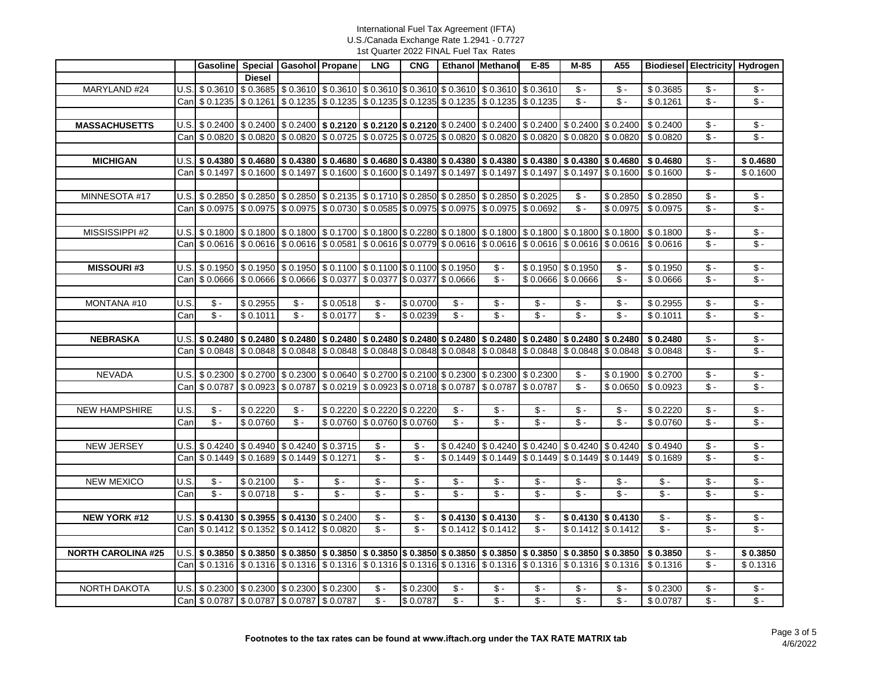|                           |      |                                                                                                                                                                                            |               | Gasoline Special Gasohol Propane                                                                                                                                                                           |                            | <b>LNG</b>                 | <b>CNG</b>      |                   | Ethanol Methanol                                                  | $E-85$            | M-85                | A55                           |                          | <b>Biodiesel Electricity Hydrogen</b> |                                    |
|---------------------------|------|--------------------------------------------------------------------------------------------------------------------------------------------------------------------------------------------|---------------|------------------------------------------------------------------------------------------------------------------------------------------------------------------------------------------------------------|----------------------------|----------------------------|-----------------|-------------------|-------------------------------------------------------------------|-------------------|---------------------|-------------------------------|--------------------------|---------------------------------------|------------------------------------|
|                           |      |                                                                                                                                                                                            | <b>Diesel</b> |                                                                                                                                                                                                            |                            |                            |                 |                   |                                                                   |                   |                     |                               |                          |                                       |                                    |
| MARYLAND #24              |      | U.S. \$ 0.3610                                                                                                                                                                             |               | $\vert$ \$ 0.3685 $\vert$ \$ 0.3610 $\vert$ \$ 0.3610 $\vert$ \$ 0.3610 $\vert$ \$ 0.3610 $\vert$ \$ 0.3610 $\vert$ \$ 0.3610                                                                              |                            |                            |                 |                   |                                                                   |                   | $\mathsf{\$}$ -     | $$ -$                         | \$0.3685                 | $$ -$                                 | $\$ -                              |
|                           |      | Can \$ 0.1235                                                                                                                                                                              |               | $$0.1261$ $$0.1235$ $$0.1235$ $$0.1235$ $$0.1235$ $$0.1235$ $$0.1235$ $$0.1235$ $$0.1235$ $$0.1235$                                                                                                        |                            |                            |                 |                   |                                                                   |                   | $\sqrt{2}$          | $\sqrt[6]{\cdot}$             | \$0.1261                 | $\sqrt[6]{\cdot}$                     | $\sqrt[6]{\cdot}$                  |
|                           |      |                                                                                                                                                                                            |               |                                                                                                                                                                                                            |                            |                            |                 |                   |                                                                   |                   |                     |                               |                          |                                       |                                    |
| <b>MASSACHUSETTS</b>      |      | $U.S.$ \$ 0.2400                                                                                                                                                                           |               | $\frac{1}{2}$ 0.2400 $\frac{1}{2}$ 0.2400 $\frac{1}{2}$ <b>0.2120</b> $\frac{1}{2}$ <b>0.2120</b> $\frac{1}{2}$ 0.2400 $\frac{1}{2}$ 0.2400 $\frac{1}{2}$ 0.2400 $\frac{1}{2}$ 0.2400 $\frac{1}{2}$ 0.2400 |                            |                            |                 |                   |                                                                   |                   |                     |                               | \$0.2400                 | $$ -$                                 | $\sqrt{$}$ -                       |
|                           |      | Can \$ 0.0820                                                                                                                                                                              |               | $$0.0820$ $$0.0820$ $$0.0725$ $$0.0725$ $$0.0725$ $$0.0725$ $$0.0820$ $$0.0820$ $$0.0820$ $$0.0820$ $$0.0820$                                                                                              |                            |                            |                 |                   |                                                                   |                   |                     |                               | \$0.0820                 | $\overline{\$}$ .                     | $\sqrt[6]{\cdot}$                  |
|                           |      |                                                                                                                                                                                            |               |                                                                                                                                                                                                            |                            |                            |                 |                   |                                                                   |                   |                     |                               |                          |                                       |                                    |
| <b>MICHIGAN</b>           |      | $U.S.$ \$ 0.4380                                                                                                                                                                           |               | $\vert$ \$ 0.4680 $\vert$ \$ 0.4380 $\vert$ \$ 0.4680 $\vert$ \$ 0.4680 $\vert$ \$ 0.4380 $\vert$ \$ 0.4380 $\vert$ \$ 0.4380 $\vert$ \$ 0.4380 $\vert$ \$ 0.4380 $\vert$ \$ 0.4380                        |                            |                            |                 |                   |                                                                   |                   |                     |                               | \$0.4680                 | \$ -                                  | \$0.4680                           |
|                           |      | Can \$ 0.1497                                                                                                                                                                              |               | $$0.1600$ $$0.1497$ $$0.1600$ $$0.1600$ $$0.1600$ $$0.1497$ $$0.1497$ $$0.1497$ $$0.1497$ $$0.1497$ $$0.1497$ $$0.1600$                                                                                    |                            |                            |                 |                   |                                                                   |                   |                     |                               | \$0.1600                 | $$ -$                                 | \$0.1600                           |
|                           |      |                                                                                                                                                                                            |               |                                                                                                                                                                                                            |                            |                            |                 |                   |                                                                   |                   |                     |                               |                          |                                       |                                    |
| MINNESOTA #17             |      | $U.S.$ \$ 0.2850                                                                                                                                                                           |               | \$0.2850 \$0.2850 \$0.2135 \$0.1710 \$0.2850 \$0.2850 \$0.2850 \$0.2025                                                                                                                                    |                            |                            |                 |                   |                                                                   |                   | $\mathbb{S}$ -      | \$0.2850                      | \$0.2850                 | $\sqrt[6]{\cdot}$                     | $\sqrt{$}$ .                       |
|                           |      | Can \$ 0.0975                                                                                                                                                                              |               | $\vert$ \$ 0.0975 $\vert$ \$ 0.0975 $\vert$ \$ 0.0730 $\vert$ \$ 0.0585 $\vert$ \$ 0.0975 $\vert$ \$ 0.0975 $\vert$ \$ 0.0975 $\vert$ \$ 0.0692                                                            |                            |                            |                 |                   |                                                                   |                   | $\sqrt{2}$          | \$0.0975                      | \$0.0975                 | $\overline{\mathcal{S}}$ -            | $\sqrt{\frac{2}{2}}$               |
|                           |      |                                                                                                                                                                                            |               |                                                                                                                                                                                                            |                            |                            |                 |                   |                                                                   |                   |                     |                               |                          |                                       |                                    |
| MISSISSIPPI #2            |      | U.S. \$ 0.1800                                                                                                                                                                             |               | $\vert$ \$ 0.1800 $\vert$ \$ 0.1800 $\vert$ \$ 0.1700 $\vert$ \$ 0.1800 $\vert$ \$ 0.2280 $\vert$ \$ 0.1800 $\vert$ \$ 0.1800 $\vert$ \$ 0.1800 $\vert$ \$ 0.1800 $\vert$ \$ 0.1800                        |                            |                            |                 |                   |                                                                   |                   |                     |                               | \$0.1800                 | $$ -$                                 | $\sqrt{5}$ -                       |
|                           |      | Can \$ 0.0616                                                                                                                                                                              |               | $$0.0616$ $$0.0616$ $$0.0581$ $$0.0616$ $$0.0779$ $$0.0616$ $$0.0616$ $$0.0616$ $$0.0616$ $$0.0616$ $$0.0616$                                                                                              |                            |                            |                 |                   |                                                                   |                   |                     |                               | \$0.0616                 | $$ -$                                 | $\sqrt[6]{\cdot}$                  |
|                           |      |                                                                                                                                                                                            |               |                                                                                                                                                                                                            |                            |                            |                 |                   |                                                                   |                   |                     |                               |                          |                                       |                                    |
| <b>MISSOURI#3</b>         |      | $U.S.$ \$ 0.1950                                                                                                                                                                           |               | \$0.1950 \$0.1950 \$0.1100 \$0.1100 \$0.1100 \$0.1950                                                                                                                                                      |                            |                            |                 |                   | $\sqrt[6]{\cdot}$                                                 |                   | $$0.1950$ $$0.1950$ | $\sqrt[6]{\cdot}$             | \$0.1950                 | $\sqrt[6]{\cdot}$                     | $\sqrt[6]{\cdot}$                  |
|                           |      | Can \$ 0.0666                                                                                                                                                                              |               | \$0.0666 \$0.0666 \$0.0377 \$0.0377 \$0.0377 \$0.0666                                                                                                                                                      |                            |                            |                 |                   | $$ -$                                                             |                   | $$0.0666$ $$0.0666$ | $\mathsf{\$}$ -               | \$0.0666                 | $$ -$                                 | $\sqrt{2}$                         |
|                           |      |                                                                                                                                                                                            |               |                                                                                                                                                                                                            |                            |                            |                 |                   |                                                                   |                   |                     |                               |                          |                                       |                                    |
| MONTANA #10               | U.S. | $\sqrt[6]{\cdot}$                                                                                                                                                                          | \$0.2955      | $\sqrt{2}$                                                                                                                                                                                                 | \$0.0518                   | $\mathsf{\$}$ -            | \$0.0700        | $$ -$             | $\mathsf{\$}$ -                                                   | $\sqrt{$}$ .      | $\sqrt{$}$ .        | $$ -$                         | \$0.2955                 | $\sqrt{$}$ .                          | $\sqrt{$}$ .                       |
|                           | Can  | $\sqrt[6]{\cdot}$                                                                                                                                                                          | \$0.1011      | $\sqrt{\frac{2}{1}}$                                                                                                                                                                                       | \$0.0177                   | $\overline{\$}$ .          | \$0.0239        | $\overline{\$}$ . | $\sqrt[6]{\cdot}$                                                 | $\sqrt[6]{\cdot}$ | $\sqrt[6]{\cdot}$   | $\sqrt{$}$ -                  | \$0.1011                 | $\overline{\$}$ -                     | $\sqrt{$}$ .                       |
|                           |      |                                                                                                                                                                                            |               |                                                                                                                                                                                                            |                            |                            |                 |                   |                                                                   |                   |                     |                               |                          |                                       |                                    |
| <b>NEBRASKA</b>           |      | $U.S.$ \$ 0.2480                                                                                                                                                                           |               | $\mid$ \$ 0.2480 $\mid$ \$ 0.2480 $\mid$ \$ 0.2480 $\mid$ \$ 0.2480 $\mid$ \$ 0.2480 $\mid$ \$ 0.2480 $\mid$ \$ 0.2480 $\mid$ \$ 0.2480 $\mid$ \$ 0.2480 $\mid$                                            |                            |                            |                 |                   |                                                                   |                   |                     |                               | \$0.2480                 | $$ -$<br>$\sqrt[6]{\cdot}$            | $\mathsf S$ -<br>$\sqrt[6]{\cdot}$ |
|                           |      | Can \$ 0.0848                                                                                                                                                                              |               | $$0.0848$ $$0.0848$ $$0.0848$ $$0.0848$ $$0.0848$ $$0.0848$ $$0.0848$ $$0.0848$ $$0.0848$ $$0.0848$ $$0.0848$ $$0.0848$                                                                                    |                            |                            |                 |                   |                                                                   |                   |                     |                               | \$0.0848                 |                                       |                                    |
|                           |      |                                                                                                                                                                                            |               | \$0.2700 \$0.2300 \$0.0640 \$0.2700 \$0.2100 \$0.2300 \$0.2300 \$0.2300                                                                                                                                    |                            |                            |                 |                   |                                                                   |                   | $\mathsf{\$}$ -     |                               | \$0.2700                 | $\mathsf{\$}$ -                       | $\sqrt{$}$ .                       |
| <b>NEVADA</b>             |      | $U.S.$ \$ 0.2300<br>Can \$ 0.0787                                                                                                                                                          |               | \$0.0923 \$0.0787 \$0.0219 \$0.0923 \$0.0718 \$0.0787 \$0.0787 \$0.0787                                                                                                                                    |                            |                            |                 |                   |                                                                   |                   | $\sqrt{2}$          | \$0.1900<br>\$0.0650          | \$0.0923                 | $\sqrt[6]{\cdot}$                     | $\sqrt{5}$ -                       |
|                           |      |                                                                                                                                                                                            |               |                                                                                                                                                                                                            |                            |                            |                 |                   |                                                                   |                   |                     |                               |                          |                                       |                                    |
| <b>NEW HAMPSHIRE</b>      | U.S. | $\mathsf{\$}$ -                                                                                                                                                                            | \$0.2220      | $\sqrt[6]{\cdot}$                                                                                                                                                                                          |                            | \$0.2220 \$0.2220 \$0.2220 |                 | $\sqrt[6]{\cdot}$ | $\sqrt[6]{\cdot}$                                                 | $\sqrt{$}$ .      | $\sqrt{$}$ .        | $\mathsf{\$}$ -               | \$0.2220                 | $\sqrt[6]{\cdot}$                     | $\sqrt{$}$ .                       |
|                           | Canl | $\sqrt{$}$ .                                                                                                                                                                               | \$0.0760      | $S -$                                                                                                                                                                                                      |                            | \$0.0760 \$0.0760 \$0.0760 |                 | $$ -$             | $\mathsf{\$}$ .                                                   | $S -$             | $\mathsf{\$}$ -     | $$ -$                         | \$0.0760                 | $$ -$                                 | $\sqrt{$}$ -                       |
|                           |      |                                                                                                                                                                                            |               |                                                                                                                                                                                                            |                            |                            |                 |                   |                                                                   |                   |                     |                               |                          |                                       |                                    |
| <b>NEW JERSEY</b>         |      | $U.S.$ \$ 0.4240                                                                                                                                                                           |               | $$0.4940 \  \, $0.4240 \  \, $0.3715$                                                                                                                                                                      |                            | $$ -$                      | $\mathsf{\$}$ - |                   | $$0.4240 \times 0.4240 \times 0.4240 \times 0.4240 \times 0.4240$ |                   |                     |                               | \$0.4940                 | $$ -$                                 | $\sqrt{5}$ -                       |
|                           |      | Can \$ 0.1449                                                                                                                                                                              |               | $\frac{1}{2}$ \$ 0.1689 \$ 0.1449 \$ 0.1271                                                                                                                                                                |                            | $\sqrt[6]{\cdot}$          | $$ -$           |                   | $$0.1449$ $$0.1449$ $$0.1449$ $$0.1449$ $$0.1449$ $$0.1449$       |                   |                     |                               | \$0.1689                 | $$ -$                                 | $\sqrt{$}$ -                       |
|                           |      |                                                                                                                                                                                            |               |                                                                                                                                                                                                            |                            |                            |                 |                   |                                                                   |                   |                     |                               |                          |                                       |                                    |
| <b>NEW MEXICO</b>         | U.S. | $\sqrt{2}$                                                                                                                                                                                 | \$0.2100      | $\sqrt{2}$                                                                                                                                                                                                 | $\overline{\mathcal{S}}$ . | $\sqrt{2}$                 | $\sqrt{2}$      | $\frac{1}{\phi}$  | $\sqrt{\frac{2}{2}}$                                              | $\sqrt{3}$        | $\sqrt{3}$          | $$ -$                         | $\sqrt{\frac{2}{2}}$     | $\overline{\mathcal{S}}$ .            | $\overline{\$}$ .                  |
|                           | Can  | $\sqrt[6]{\cdot}$                                                                                                                                                                          | \$0.0718      | $\overline{\$}$ .                                                                                                                                                                                          | $\overline{\$}$ .          | $$ -$                      | $\mathsf{\$}$ - | $$ -$             | $S -$                                                             | $S -$             | $\sqrt{2}$          | $\sqrt[6]{\cdot}$             | $S -$                    | $\sqrt[6]{\cdot}$                     | $\sqrt{$}$ -                       |
|                           |      |                                                                                                                                                                                            |               |                                                                                                                                                                                                            |                            |                            |                 |                   |                                                                   |                   |                     |                               |                          |                                       |                                    |
| <b>NEW YORK #12</b>       |      | U.S. $\vert$ \$ 0.4130 $\vert$ \$ 0.3955 $\vert$ \$ 0.4130 $\vert$ \$ 0.2400                                                                                                               |               |                                                                                                                                                                                                            |                            | $\mathsf{\$}$ -            | $\mathsf{\$}$ - |                   | $$0.4130 \, \times \, 0.4130$                                     | $\mathsf{\$}$ -   |                     | $$0.4130 \, \times \, 0.4130$ | $\mathsf{\$}$ -          | $\mathsf{\$}$ -                       | $\mathsf S$ -                      |
|                           |      | Can \$ 0.1412                                                                                                                                                                              |               | \$0.1352 \$0.1412 \$0.0820                                                                                                                                                                                 |                            | $S -$                      | $\mathsf{\$}$ - |                   | $$0.1412$ $$0.1412$                                               | $\overline{\$}$ - | $$0.1412$ $$0.1412$ |                               | $\overline{\mathcal{S}}$ | $\overline{\mathcal{S}}$ -            | $\sqrt[6]{\cdot}$                  |
|                           |      |                                                                                                                                                                                            |               |                                                                                                                                                                                                            |                            |                            |                 |                   |                                                                   |                   |                     |                               |                          |                                       |                                    |
| <b>NORTH CAROLINA #25</b> |      | $\bigcup S$ . $\$ 0.3850 $\big $ \$ 0.3850 $\big $ \$ 0.3850 $\big $ \$ 0.3850 $\big $ \$ 0.3850 $\big $ \$ 0.3850 $\big $ \$ 0.3850 $\big $ \$ 0.3850 $\big $ \$ 0.3850 $\big $ \$ 0.3850 |               |                                                                                                                                                                                                            |                            |                            |                 |                   |                                                                   |                   |                     |                               | \$0.3850                 | $\mathsf{\$}$ -                       | \$0.3850                           |
|                           |      | Can   \$ 0.1316                                                                                                                                                                            |               | $$0.1316$ $$0.1316$ $$0.1316$ $$0.1316$ $$0.1316$ $$0.1316$ $$0.1316$ $$0.1316$ $$0.1316$ $$0.1316$ $$0.1316$ $$0.1316$                                                                                    |                            |                            |                 |                   |                                                                   |                   |                     |                               | $\sqrt{$}0.1316$         | $$ -$                                 | \$0.1316                           |
|                           |      |                                                                                                                                                                                            |               |                                                                                                                                                                                                            |                            |                            |                 |                   |                                                                   |                   |                     |                               |                          |                                       |                                    |
| NORTH DAKOTA              |      | $U.S.$ \$ 0.2300                                                                                                                                                                           |               | $$0.2300 \  \, $0.2300 \  \, $0.2300$                                                                                                                                                                      |                            | $$ -$                      | \$0.2300        | $$ -$             | $\mathsf S$ -                                                     | $\mathsf S$ -     | $\mathsf S$ -       | $$ -$                         | \$0.2300                 | $\mathsf S$ -                         | $\mathsf{\$}$ -                    |
|                           |      | Can   \$ 0.0787   \$ 0.0787   \$ 0.0787   \$ 0.0787                                                                                                                                        |               |                                                                                                                                                                                                            |                            | $\mathsf{\$}$ -            | \$0.0787        | $\mathsf{\$}$ .   | $\sqrt[6]{\cdot}$                                                 | $\overline{\$}$ . | $\mathsf{\$}$ -     | $$ -$                         | \$0.0787                 | $$ -$                                 | $\mathsf{\$}$ -                    |
|                           |      |                                                                                                                                                                                            |               |                                                                                                                                                                                                            |                            |                            |                 |                   |                                                                   |                   |                     |                               |                          |                                       |                                    |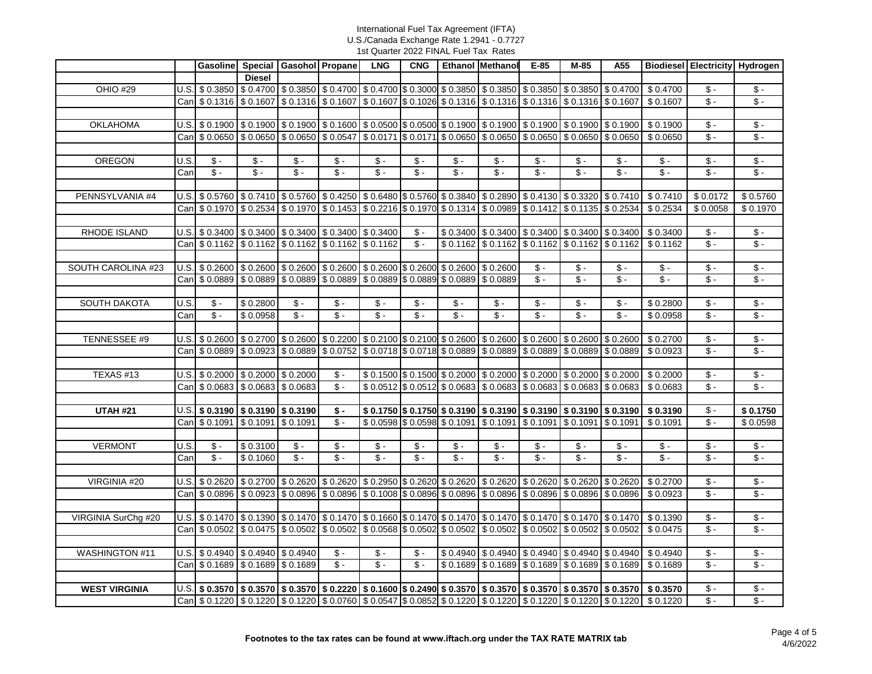|                       |      |                                                                                                                                                                                                                                                                                            |                     | Gasoline Special Gasohol Propane |                                                                                                                                                                                                                                                 | <b>LNG</b>               | <b>CNG</b>        |                            | Ethanol Methanol                                                                | $E-85$               | M-85                       | A55                        |                                                                                                                                     | Biodiesel Electricity Hydrogen |                            |
|-----------------------|------|--------------------------------------------------------------------------------------------------------------------------------------------------------------------------------------------------------------------------------------------------------------------------------------------|---------------------|----------------------------------|-------------------------------------------------------------------------------------------------------------------------------------------------------------------------------------------------------------------------------------------------|--------------------------|-------------------|----------------------------|---------------------------------------------------------------------------------|----------------------|----------------------------|----------------------------|-------------------------------------------------------------------------------------------------------------------------------------|--------------------------------|----------------------------|
|                       |      |                                                                                                                                                                                                                                                                                            | <b>Diesel</b>       |                                  |                                                                                                                                                                                                                                                 |                          |                   |                            |                                                                                 |                      |                            |                            |                                                                                                                                     |                                |                            |
| OHIO #29              |      | $U.S.$ \$ 0.3850                                                                                                                                                                                                                                                                           |                     |                                  | $$0.4700$ $$0.3850$ $$0.4700$ $$0.4700$ $$0.3000$ $$0.3000$ $$0.3850$ $$0.3850$ $$0.3850$ $$0.3850$ $$0.3850$ $$0.4700$                                                                                                                         |                          |                   |                            |                                                                                 |                      |                            |                            | \$0.4700                                                                                                                            | $\mathsf{s}$ -                 | $\mathsf{\$}$ -            |
|                       |      | Can \$ 0.1316                                                                                                                                                                                                                                                                              |                     |                                  | $$0.1607$ $$0.1316$ $$0.1607$ $$0.1607$ $$0.1607$ $$0.1026$ $$0.1316$ $$0.1316$ $$0.1316$ $$0.1316$ $$0.1316$ $$0.1316$                                                                                                                         |                          |                   |                            |                                                                                 |                      |                            |                            | \$0.1607                                                                                                                            | $$ -$                          | $\mathsf{\$}$ -            |
|                       |      |                                                                                                                                                                                                                                                                                            |                     |                                  |                                                                                                                                                                                                                                                 |                          |                   |                            |                                                                                 |                      |                            |                            |                                                                                                                                     |                                |                            |
| <b>OKLAHOMA</b>       |      | $U.S.$ \$ 0.1900                                                                                                                                                                                                                                                                           |                     |                                  | $$0.1900$ $$0.1900$ $$0.1600$ $$0.0500$ $$0.0500$ $$0.0500$ $$0.1900$ $$0.1900$ $$0.1900$ $$0.1900$ $$0.1900$                                                                                                                                   |                          |                   |                            |                                                                                 |                      |                            |                            | \$0.1900                                                                                                                            | $$ -$                          | $\mathsf{\$}$ -            |
|                       |      | Can \$ 0.0650                                                                                                                                                                                                                                                                              |                     |                                  | \$ 0.0650 \$ 0.0650 \$ 0.0547 \$ 0.0171 \$ 0.0171 \$ 0.0650 \$ 0.0650 \$ 0.0650 \$ 0.0650 \$ 0.0650                                                                                                                                             |                          |                   |                            |                                                                                 |                      |                            |                            | \$0.0650                                                                                                                            | $\mathsf{\$}$ -                | $\sqrt[6]{\cdot}$          |
|                       |      |                                                                                                                                                                                                                                                                                            |                     |                                  |                                                                                                                                                                                                                                                 |                          |                   |                            |                                                                                 |                      |                            |                            |                                                                                                                                     |                                |                            |
| OREGON                | U.S. | $\mathsf{\$}$ -                                                                                                                                                                                                                                                                            | $S -$               | $S -$                            | $S -$                                                                                                                                                                                                                                           | $S -$                    | $$ -$             | $$ -$                      | $S -$                                                                           | $S -$                | $S -$                      | $$ -$                      | $$ -$                                                                                                                               | $$ -$                          | $$ -$                      |
|                       | Can  | $$ -$                                                                                                                                                                                                                                                                                      | $\overline{\$}$ -   | $\overline{\$}$ .                | $\overline{\$}$ .                                                                                                                                                                                                                               | $\mathsf{\$}$ .          | $$ -$             | $$ -$                      | $\overline{\$}$ .                                                               | $S -$                | $\overline{\$}$ .          | $$ -$                      | $$ -$                                                                                                                               | $\mathsf{\$}$ -                | $\overline{\mathcal{S}}$ . |
|                       |      |                                                                                                                                                                                                                                                                                            |                     |                                  |                                                                                                                                                                                                                                                 |                          |                   |                            |                                                                                 |                      |                            |                            |                                                                                                                                     |                                |                            |
| PENNSYLVANIA #4       |      | $U.S.$ \$ 0.5760                                                                                                                                                                                                                                                                           |                     |                                  | \$ 0.7410 \$ 0.5760 \$ 0.4250 \$ 0.6480 \$ 0.5760 \$ 0.3840 \$ 0.2890 \$ 0.4130 \$ 0.3320 \$ 0.7410 \$ 0.7410                                                                                                                                   |                          |                   |                            |                                                                                 |                      |                            |                            |                                                                                                                                     | \$0.0172                       | \$0.5760                   |
|                       |      | Can \$ 0.1970                                                                                                                                                                                                                                                                              |                     |                                  | $\frac{1}{2}$ \$ 0.2534 $\frac{1}{2}$ \$ 0.1970 $\frac{1}{2}$ \$ 0.1453 $\frac{1}{2}$ \$ 0.2216 $\frac{1}{2}$ \$ 0.1970 $\frac{1}{2}$ \$ 0.1314 $\frac{1}{2}$ \$ 0.0989 $\frac{1}{2}$ \$ 0.1412 $\frac{1}{2}$ \$ 0.1135 $\frac{1}{2}$ \$ 0.2534 |                          |                   |                            |                                                                                 |                      |                            |                            | \$0.2534                                                                                                                            | \$0.0058                       | \$0.1970                   |
|                       |      |                                                                                                                                                                                                                                                                                            |                     |                                  |                                                                                                                                                                                                                                                 |                          |                   |                            |                                                                                 |                      |                            |                            |                                                                                                                                     |                                |                            |
| RHODE ISLAND          |      | $U.S.$ \$ 0.3400                                                                                                                                                                                                                                                                           |                     |                                  | $$0.3400 \, \times \, 0.3400 \, \times \, 0.3400 \, \times \, 0.3400$                                                                                                                                                                           |                          | $\mathsf{\$}$ -   |                            | $$0.3400 \& 0.3400 \& 0.3400 \& 0.3400 \& 0.3400$                               |                      |                            |                            | \$0.3400                                                                                                                            | $$ -$                          | $\sqrt{5}$ -               |
|                       |      | Can \$ 0.1162                                                                                                                                                                                                                                                                              |                     |                                  | \$0.1162 \$0.1162 \$0.1162 \$0.1162                                                                                                                                                                                                             |                          | $\mathsf{\$}$ -   |                            | $$0.1162$ $$0.1162$ $$0.1162$ $$0.1162$ $$0.1162$ $$0.1162$                     |                      |                            |                            | \$0.1162                                                                                                                            | $$ -$                          | $\mathsf{\$}$ -            |
|                       |      |                                                                                                                                                                                                                                                                                            |                     |                                  |                                                                                                                                                                                                                                                 |                          |                   |                            |                                                                                 |                      |                            |                            |                                                                                                                                     |                                |                            |
| SOUTH CAROLINA #23    |      | $U.S.$ \$ 0.2600                                                                                                                                                                                                                                                                           |                     |                                  | $$0.2600$ $$0.2600$ $$0.2600$ $$0.2600$ $$0.2600$ $$0.2600$ $$0.2600$ $$0.2600$                                                                                                                                                                 |                          |                   |                            |                                                                                 | $S -$                | $S -$                      | $$ -$                      | $\mathsf{\$}$ -                                                                                                                     | $\mathsf{\$}$ -                | $\sqrt{$}$ -               |
|                       |      | Can \$ 0.0889                                                                                                                                                                                                                                                                              |                     |                                  | $\vert$ \$ 0.0889 $\vert$ \$ 0.0889 $\vert$ \$ 0.0889 $\vert$ \$ 0.0889 $\vert$ \$ 0.0889 $\vert$ \$ 0.0889                                                                                                                                     |                          |                   |                            |                                                                                 | $S -$                | $S -$                      | $\overline{\mathcal{S}}$ - | $\overline{\mathcal{S}}$                                                                                                            | $\overline{\mathcal{S}}$ -     | $\sqrt{2}$                 |
|                       |      |                                                                                                                                                                                                                                                                                            |                     |                                  |                                                                                                                                                                                                                                                 |                          |                   |                            |                                                                                 |                      |                            |                            |                                                                                                                                     |                                |                            |
| <b>SOUTH DAKOTA</b>   | U.S. | $\overline{\mathcal{S}}$ .                                                                                                                                                                                                                                                                 | \$0.2800            | $\overline{\$}$ .                | $$ -$                                                                                                                                                                                                                                           | $\overline{\mathbf{S}}$  | $\overline{\$}$ . | $\overline{\mathcal{S}}$ . | $\overline{\$}$ .                                                               | $\sqrt{\frac{2}{2}}$ | $\overline{\mathcal{S}}$ . | $$ -$                      | \$0.2800                                                                                                                            | $$ -$                          | $\sqrt{$}$ .               |
|                       | Can  | $\overline{\mathcal{S}}$ .                                                                                                                                                                                                                                                                 | \$0.0958            | $S -$                            | $S -$                                                                                                                                                                                                                                           | $S -$                    | $\mathsf{\$}$ -   | $$ -$                      | $\overline{\mathcal{S}}$ .                                                      | $\overline{\$}$ .    | $\overline{\$}$ -          | $$ -$                      | \$0.0958                                                                                                                            | $\mathsf{\$}$ -                | $S -$                      |
|                       |      |                                                                                                                                                                                                                                                                                            |                     |                                  |                                                                                                                                                                                                                                                 |                          |                   |                            |                                                                                 |                      |                            |                            |                                                                                                                                     |                                |                            |
| TENNESSEE #9          |      | $\vert$ U.S. $\vert$ \$ 0.2600 $\vert$ \$ 0.2700 $\vert$ \$ 0.2600 $\vert$ \$ 0.2200 $\vert$ \$ 0.2100 $\vert$ \$ 0.2600 $\vert$ \$ 0.2600 $\vert$ \$ 0.2600 $\vert$ \$ 0.2600 $\vert$ \$ 0.2600 $\vert$ \$ 0.2600 $\vert$ \$ 0.2600 $\vert$ \$ 0.2600 $\vert$ \$ 0.2600 $\vert$ \$ 0.2600 |                     |                                  |                                                                                                                                                                                                                                                 |                          |                   |                            |                                                                                 |                      |                            |                            | \$0.2700                                                                                                                            | $$ -$                          | $\mathbb S$ -              |
|                       |      | Can \$ 0.0889                                                                                                                                                                                                                                                                              |                     |                                  | \$ 0.0923 \$ 0.0889 \$ 0.0752 \$ 0.0718 \$ 0.0718 \$ 0.0889 \$ 0.0889 \$ 0.0889 \$ 0.0889 \$ 0.0889                                                                                                                                             |                          |                   |                            |                                                                                 |                      |                            |                            | \$0.0923                                                                                                                            | $\overline{\$}$ .              | $\overline{\mathcal{S}}$ . |
|                       |      |                                                                                                                                                                                                                                                                                            |                     |                                  |                                                                                                                                                                                                                                                 |                          |                   |                            |                                                                                 |                      |                            |                            |                                                                                                                                     |                                |                            |
| TEXAS #13             |      | $U.S.$ \$ 0.2000                                                                                                                                                                                                                                                                           |                     | $$0.2000 \ $0.2000$              | $\mathsf{\$}$ -                                                                                                                                                                                                                                 |                          |                   |                            | $$0.1500$ $$0.1500$ $$0.2000$ $$0.2000$ $$0.2000$ $$0.2000$ $$0.2000$ $$0.2000$ |                      |                            |                            | \$0.2000                                                                                                                            | $$ -$                          | $\sqrt{5}$                 |
|                       |      | Can \$ 0.0683                                                                                                                                                                                                                                                                              |                     | $$0.0683$ $$0.0683$              | $S -$                                                                                                                                                                                                                                           |                          |                   |                            | \$0.0512 \$0.0512 \$0.0683 \$0.0683 \$0.0683 \$0.0683 \$0.0683                  |                      |                            |                            | \$0.0683                                                                                                                            | $$ -$                          | $\mathsf{\$}$ -            |
|                       |      |                                                                                                                                                                                                                                                                                            |                     |                                  |                                                                                                                                                                                                                                                 |                          |                   |                            |                                                                                 |                      |                            |                            |                                                                                                                                     |                                |                            |
| <b>UTAH #21</b>       |      | $\overline{U.S.}$ \$ 0.3190                                                                                                                                                                                                                                                                | \$0.3190 \$0.3190   |                                  | \$ -                                                                                                                                                                                                                                            |                          |                   |                            | $$0.1750$ $$0.1750$ $$0.3190$ $$0.3190$ $$0.3190$ $$0.3190$ $$0.3190$ $$0.3190$ |                      |                            |                            | $\sqrt{$}$ 0.3190                                                                                                                   | $$-$                           | \$0.1750                   |
|                       |      | Can \$ 0.1091                                                                                                                                                                                                                                                                              | $$0.1091$ \$ 0.1091 |                                  | $$ -$                                                                                                                                                                                                                                           |                          |                   |                            | \$0.0598 \$0.0598 \$0.1091 \$0.1091 \$0.1091 \$0.1091 \$0.1091                  |                      |                            |                            | \$0.1091                                                                                                                            | $$ -$                          | \$0.0598                   |
|                       |      |                                                                                                                                                                                                                                                                                            |                     |                                  |                                                                                                                                                                                                                                                 |                          |                   |                            |                                                                                 |                      |                            |                            |                                                                                                                                     |                                |                            |
| <b>VERMONT</b>        | U.S. | $\overline{\$}$ .                                                                                                                                                                                                                                                                          | \$0.3100            | $\overline{\$}$ .                | $\sqrt[6]{\cdot}$                                                                                                                                                                                                                               | $\sqrt{2}$               | $\overline{\$}$ - | $\overline{\$}$ -          | $\sqrt[6]{\cdot}$                                                               | $\sqrt{2}$           | $\sqrt{2}$                 | $$ -$                      | $\sqrt[6]{\cdot}$                                                                                                                   | $\sqrt[6]{\cdot}$              | $\sqrt{5}$ -               |
|                       | Can  | $\sqrt[6]{\cdot}$                                                                                                                                                                                                                                                                          | \$0.1060            | $S -$                            | $\overline{\$}$ .                                                                                                                                                                                                                               | $\overline{\$}$ .        | $\sqrt[6]{\cdot}$ | $\sqrt[6]{\cdot}$          | $\overline{\mathcal{S}}$ .                                                      | $\overline{\$}$ .    | $\overline{\$}$ .          | $$ -$                      | $\overline{\mathcal{S}}$                                                                                                            | $$ -$                          | $\overline{\$}$            |
|                       |      |                                                                                                                                                                                                                                                                                            |                     |                                  |                                                                                                                                                                                                                                                 |                          |                   |                            |                                                                                 |                      |                            |                            |                                                                                                                                     |                                |                            |
| VIRGINIA #20          |      | $U.S.$ \$ 0.2620                                                                                                                                                                                                                                                                           |                     |                                  | $$0.2700$ $$0.2620$ $$0.2620$ $$0.2620$ $$0.2950$ $$0.2620$ $$0.2620$ $$0.2620$ $$0.2620$ $$0.2620$ $$0.2620$                                                                                                                                   |                          |                   |                            |                                                                                 |                      |                            |                            | \$0.2700                                                                                                                            | $$ -$                          | $\sqrt{$}$ -               |
|                       |      | Can \$ 0.0896                                                                                                                                                                                                                                                                              |                     |                                  | $$0.0923$$ $$0.0896$$ $$0.0896$$ $$0.0896$$ $$0.1008$$ $$0.0896$$ $$0.0896$$ $$0.0896$$ $$0.0896$$ $$0.0896$$ $$0.0896$                                                                                                                         |                          |                   |                            |                                                                                 |                      |                            |                            | \$0.0923                                                                                                                            | $$ -$                          | $\sqrt[6]{\cdot}$          |
|                       |      |                                                                                                                                                                                                                                                                                            |                     |                                  |                                                                                                                                                                                                                                                 |                          |                   |                            |                                                                                 |                      |                            |                            |                                                                                                                                     |                                |                            |
| VIRGINIA SurChg #20   |      | $\lfloor 0.5 \rfloor$ \$ 0.1470 $\rfloor$ \$ 0.1390 $\rfloor$ \$ 0.1470 $\rfloor$ \$ 0.1470 $\rfloor$ \$ 0.1660 $\rfloor$ \$ 0.1470 $\rfloor$ \$ 0.1470 $\rfloor$ \$ 0.1470 $\rfloor$ \$ 0.1470 $\rfloor$ \$ 0.1470 $\rfloor$ \$ 0.1470                                                    |                     |                                  |                                                                                                                                                                                                                                                 |                          |                   |                            |                                                                                 |                      |                            |                            | \$0.1390                                                                                                                            | $\frac{2}{3}$ .                | $\sqrt{\frac{2}{2}}$       |
|                       |      | Can \$ 0.0502                                                                                                                                                                                                                                                                              |                     |                                  | $$0.0475$ $$0.0502$ $$0.0502$ $$0.0502$ $$0.0568$ $$0.0502$ $$0.0502$ $$0.0502$ $$0.0502$ $$0.0502$ $$0.0502$ $$0.0502$                                                                                                                         |                          |                   |                            |                                                                                 |                      |                            |                            | \$0.0475                                                                                                                            | $$ -$                          | $\sqrt[6]{\cdot}$          |
|                       |      |                                                                                                                                                                                                                                                                                            |                     |                                  |                                                                                                                                                                                                                                                 |                          |                   |                            |                                                                                 |                      |                            |                            |                                                                                                                                     |                                |                            |
| <b>WASHINGTON #11</b> |      | U.S. \$0.4940 \$0.4940 \$0.4940                                                                                                                                                                                                                                                            |                     |                                  | $$ -$                                                                                                                                                                                                                                           | $\overline{\$}$ .        | $\mathsf{\$}$ -   |                            | $$0.4940$ $$0.4940$ $$0.4940$ $$0.4940$ $$0.4940$ $$0.4940$                     |                      |                            |                            | \$0.4940                                                                                                                            | $$-$                           | $\sqrt{2}$                 |
|                       |      | Can \$ 0.1689                                                                                                                                                                                                                                                                              |                     | $$0.1689$ $$0.1689$              | $\overline{\$}$ .                                                                                                                                                                                                                               | $\overline{\mathcal{S}}$ | $S -$             |                            | \$0.1689 \$0.1689 \$0.1689 \$0.1689 \$0.1689                                    |                      |                            |                            | \$0.1689                                                                                                                            | $$ -$                          | $\sqrt[6]{\cdot}$          |
|                       |      |                                                                                                                                                                                                                                                                                            |                     |                                  |                                                                                                                                                                                                                                                 |                          |                   |                            |                                                                                 |                      |                            |                            |                                                                                                                                     |                                |                            |
| <b>WEST VIRGINIA</b>  |      |                                                                                                                                                                                                                                                                                            |                     |                                  |                                                                                                                                                                                                                                                 |                          |                   |                            |                                                                                 |                      |                            |                            | $\bigcup S$ \$ 0.3570 \$ 0.3570 \$ 0.3570 \$ 0.2220 \$ 0.1600 \$ 0.2490 \$ 0.3570 \$ 0.3570 \$ 0.3570 \$ 0.3570 \$ 0.3570 \$ 0.3570 | $$ -$                          | $\mathsf{\$}$ -            |
|                       |      |                                                                                                                                                                                                                                                                                            |                     |                                  |                                                                                                                                                                                                                                                 |                          |                   |                            |                                                                                 |                      |                            |                            | Can \$ 0.1220 \$ 0.1220 \$ 0.1220 \$ 0.0760 \$ 0.0547 \$ 0.0852 \$ 0.1220 \$ 0.1220 \$ 0.1220 \$ 0.1220 \$ 0.1220 \$ 0.1220         | $\sqrt[6]{\cdot}$              | $\sqrt[6]{\cdot}$          |
|                       |      |                                                                                                                                                                                                                                                                                            |                     |                                  |                                                                                                                                                                                                                                                 |                          |                   |                            |                                                                                 |                      |                            |                            |                                                                                                                                     |                                |                            |